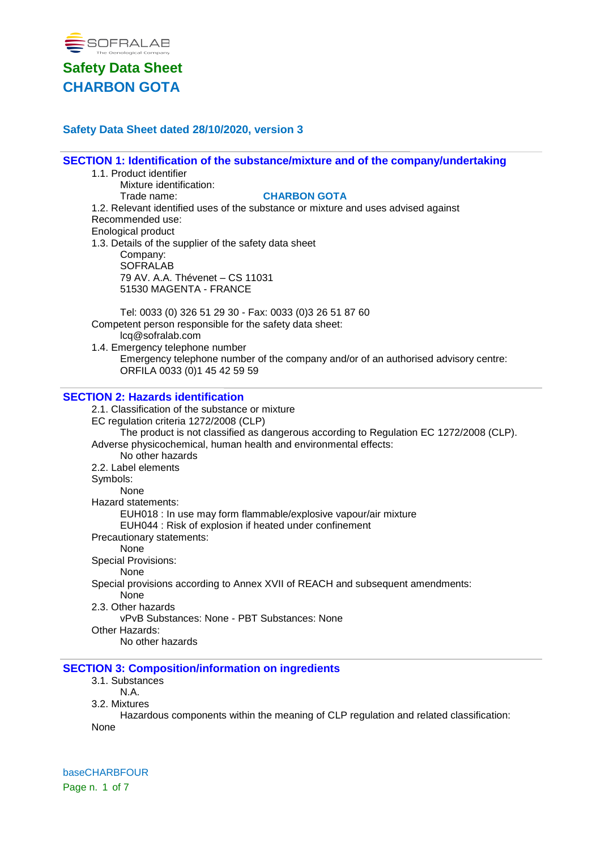

### **Safety Data Sheet dated 28/10/2020, version 3**

**SECTION 1: Identification of the substance/mixture and of the company/undertaking** 1.1. Product identifier Mixture identification:

Trade name: **CHARBON GOTA** 1.2. Relevant identified uses of the substance or mixture and uses advised against Recommended use: Enological product 1.3. Details of the supplier of the safety data sheet Company: **SOFRALAB** 79 AV. A.A. Thévenet – CS 11031 51530 MAGENTA - FRANCE

Tel: 0033 (0) 326 51 29 30 - Fax: 0033 (0)3 26 51 87 60 Competent person responsible for the safety data sheet: lcq@sofralab.com

1.4. Emergency telephone number Emergency telephone number of the company and/or of an authorised advisory centre: ORFILA 0033 (0)1 45 42 59 59

#### **SECTION 2: Hazards identification**

2.1. Classification of the substance or mixture EC regulation criteria 1272/2008 (CLP) The product is not classified as dangerous according to Regulation EC 1272/2008 (CLP). Adverse physicochemical, human health and environmental effects: No other hazards 2.2. Label elements Symbols: None Hazard statements: EUH018 : In use may form flammable/explosive vapour/air mixture EUH044 : Risk of explosion if heated under confinement Precautionary statements: None Special Provisions: None Special provisions according to Annex XVII of REACH and subsequent amendments: None 2.3. Other hazards vPvB Substances: None - PBT Substances: None Other Hazards: No other hazards **SECTION 3: Composition/information on ingredients**

3.1. Substances

N.A.

3.2. Mixtures

Hazardous components within the meaning of CLP regulation and related classification: None

baseCHARBFOUR Page n. 1 of 7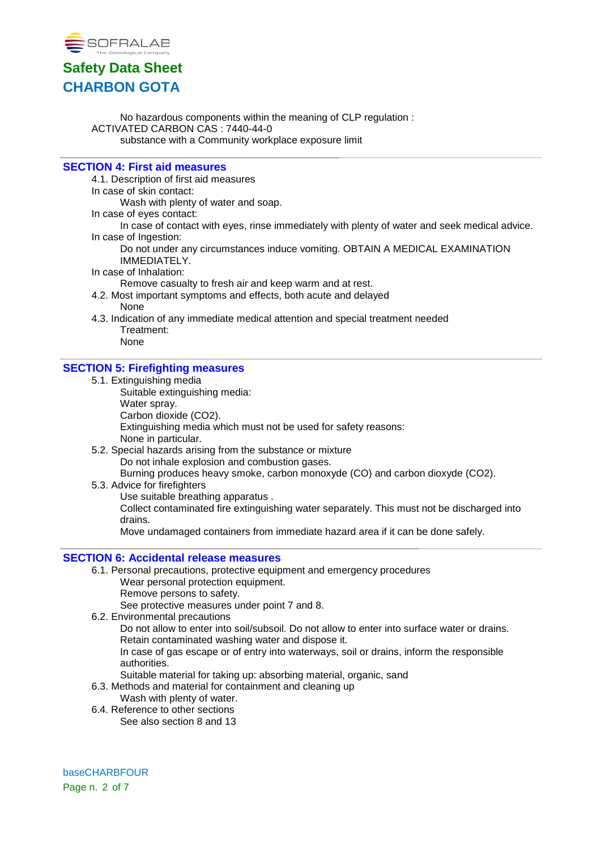

No hazardous components within the meaning of CLP regulation : ACTIVATED CARBON CAS : 7440-44-0 substance with a Community workplace exposure limit

### **SECTION 4: First aid measures**

4.1. Description of first aid measures

In case of skin contact:

Wash with plenty of water and soap.

In case of eyes contact:

In case of contact with eyes, rinse immediately with plenty of water and seek medical advice. In case of Ingestion:

Do not under any circumstances induce vomiting. OBTAIN A MEDICAL EXAMINATION IMMEDIATELY.

In case of Inhalation:

Remove casualty to fresh air and keep warm and at rest.

- 4.2. Most important symptoms and effects, both acute and delayed None
- 4.3. Indication of any immediate medical attention and special treatment needed Treatment:

# None

### **SECTION 5: Firefighting measures**

- 5.1. Extinguishing media
	- Suitable extinguishing media: Water spray. Carbon dioxide (CO2). Extinguishing media which must not be used for safety reasons: None in particular.
- 5.2. Special hazards arising from the substance or mixture Do not inhale explosion and combustion gases. Burning produces heavy smoke, carbon monoxyde (CO) and carbon dioxyde (CO2).
- 5.3. Advice for firefighters

Use suitable breathing apparatus .

Collect contaminated fire extinguishing water separately. This must not be discharged into drains.

Move undamaged containers from immediate hazard area if it can be done safely.

### **SECTION 6: Accidental release measures**

- 6.1. Personal precautions, protective equipment and emergency procedures Wear personal protection equipment.
	- Remove persons to safety.

See protective measures under point 7 and 8.

6.2. Environmental precautions

Do not allow to enter into soil/subsoil. Do not allow to enter into surface water or drains. Retain contaminated washing water and dispose it.

In case of gas escape or of entry into waterways, soil or drains, inform the responsible authorities.

Suitable material for taking up: absorbing material, organic, sand

- 6.3. Methods and material for containment and cleaning up
	- Wash with plenty of water.
- 6.4. Reference to other sections See also section 8 and 13

baseCHARBFOUR Page n. 2 of 7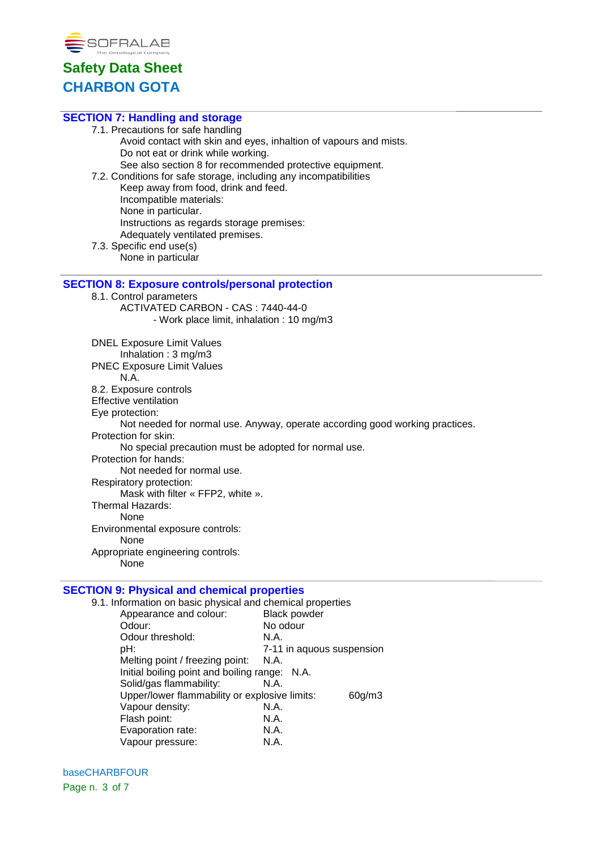

| <b>SECTION 7: Handling and storage</b>                                       |
|------------------------------------------------------------------------------|
| 7.1. Precautions for safe handling                                           |
| Avoid contact with skin and eyes, inhaltion of vapours and mists.            |
| Do not eat or drink while working.                                           |
| See also section 8 for recommended protective equipment.                     |
| 7.2. Conditions for safe storage, including any incompatibilities            |
| Keep away from food, drink and feed.                                         |
| Incompatible materials:                                                      |
| None in particular.                                                          |
| Instructions as regards storage premises:                                    |
| Adequately ventilated premises.                                              |
| 7.3. Specific end use(s)                                                     |
| None in particular                                                           |
|                                                                              |
| <b>SECTION 8: Exposure controls/personal protection</b>                      |
| 8.1. Control parameters                                                      |
| ACTIVATED CARBON - CAS: 7440-44-0                                            |
| - Work place limit, inhalation : 10 mg/m3                                    |
|                                                                              |
| <b>DNEL Exposure Limit Values</b>                                            |
| Inhalation: 3 mg/m3                                                          |
| <b>PNEC Exposure Limit Values</b>                                            |
| N.A.                                                                         |
| 8.2. Exposure controls                                                       |
| <b>Effective ventilation</b>                                                 |
| Eye protection:                                                              |
| Not needed for normal use. Anyway, operate according good working practices. |
| Protection for skin:                                                         |
| No special precaution must be adopted for normal use.                        |
| Protection for hands:                                                        |
| Not needed for normal use.                                                   |
| Respiratory protection:                                                      |
| Mask with filter « FFP2, white ».                                            |
| <b>Thermal Hazards:</b>                                                      |
| None                                                                         |
| Environmental exposure controls:                                             |
| None                                                                         |
| Appropriate engineering controls:                                            |
| None                                                                         |
|                                                                              |

### **SECTION 9: Physical and chemical properties**

| 9.1. Information on basic physical and chemical properties |                           |
|------------------------------------------------------------|---------------------------|
| Appearance and colour:                                     | <b>Black powder</b>       |
| Odour:                                                     | No odour                  |
| Odour threshold:                                           | N.A.                      |
| pH:                                                        | 7-11 in aquous suspension |
| Melting point / freezing point:                            | N.A.                      |
| Initial boiling point and boiling range: N.A.              |                           |
| Solid/gas flammability:                                    | N.A.                      |
| Upper/lower flammability or explosive limits:              | 60 <sub>g</sub> /m3       |
| Vapour density:                                            | N.A.                      |
| Flash point:                                               | N.A.                      |
| Evaporation rate:                                          | N.A.                      |
| Vapour pressure:                                           | N.A.                      |

baseCHARBFOUR Page n. 3 of 7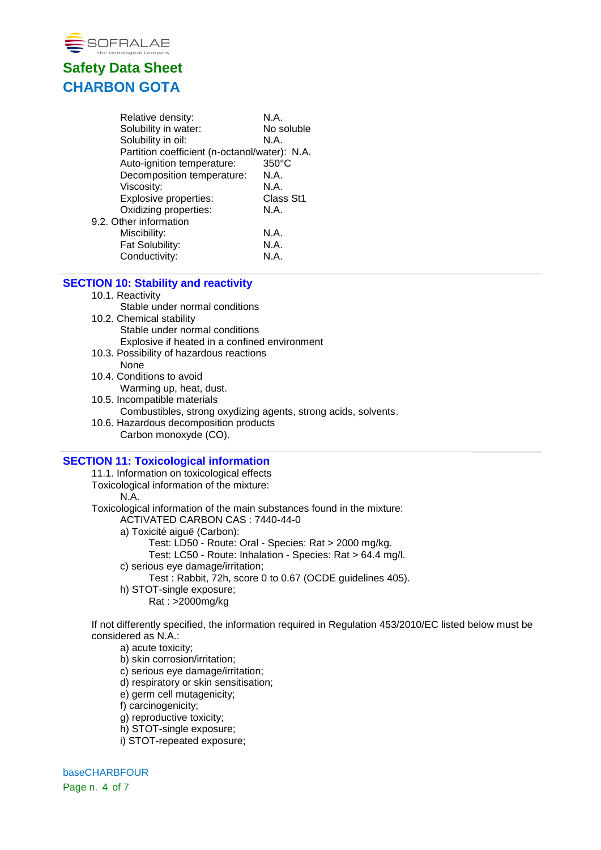

| Relative density:                             | N.A.            |
|-----------------------------------------------|-----------------|
| Solubility in water:                          | No soluble      |
| Solubility in oil:                            | N.A.            |
| Partition coefficient (n-octanol/water): N.A. |                 |
| Auto-ignition temperature:                    | $350^{\circ}$ C |
| Decomposition temperature:                    | N.A.            |
| Viscosity:                                    | N.A.            |
| Explosive properties:                         | Class St1       |
| Oxidizing properties:                         | N.A.            |
| 9.2. Other information                        |                 |
| Miscibility:                                  | N.A.            |
| Fat Solubility:                               | N.A.            |
| Conductivity:                                 | N.A.            |
|                                               |                 |

### **SECTION 10: Stability and reactivity**

#### 10.1. Reactivity

- Stable under normal conditions
- 10.2. Chemical stability Stable under normal conditions Explosive if heated in a confined environment
- 10.3. Possibility of hazardous reactions None
- 10.4. Conditions to avoid Warming up, heat, dust.
- 10.5. Incompatible materials
	- Combustibles, strong oxydizing agents, strong acids, solvents.
- 10.6. Hazardous decomposition products Carbon monoxyde (CO).

#### **SECTION 11: Toxicological information**

11.1. Information on toxicological effects Toxicological information of the mixture: N.A. Toxicological information of the main substances found in the mixture: ACTIVATED CARBON CAS : 7440-44-0 a) Toxicité aiguë (Carbon): Test: LD50 - Route: Oral - Species: Rat > 2000 mg/kg. Test: LC50 - Route: Inhalation - Species: Rat > 64.4 mg/l.

- c) serious eye damage/irritation;
	- Test : Rabbit, 72h, score 0 to 0.67 (OCDE guidelines 405).
- h) STOT-single exposure;
	- Rat : >2000mg/kg

If not differently specified, the information required in Regulation 453/2010/EC listed below must be considered as N.A.:

a) acute toxicity;

- b) skin corrosion/irritation;
- c) serious eye damage/irritation;
- d) respiratory or skin sensitisation;
- e) germ cell mutagenicity;
- f) carcinogenicity;
- g) reproductive toxicity;
- h) STOT-single exposure;
- i) STOT-repeated exposure;

baseCHARBFOUR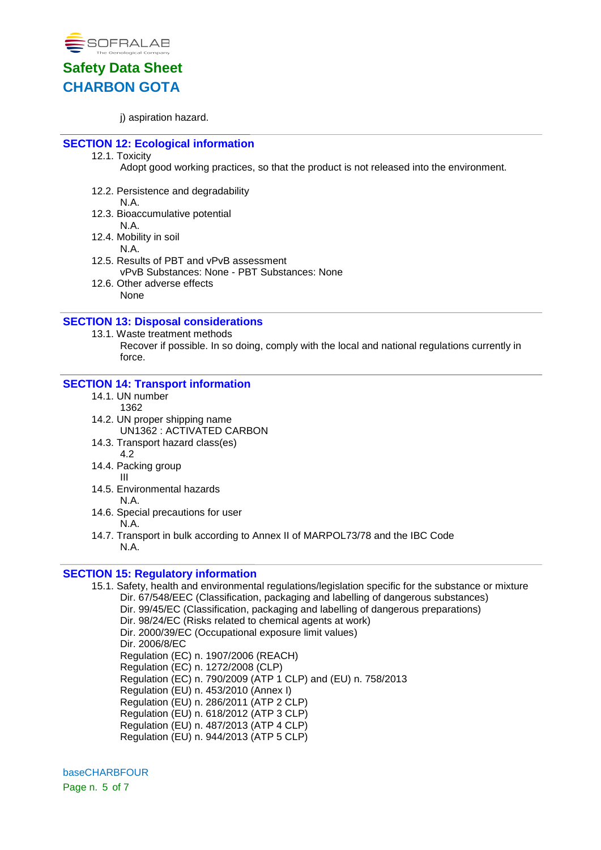

i) aspiration hazard.

### **SECTION 12: Ecological information**

12.1. Toxicity

Adopt good working practices, so that the product is not released into the environment.

12.2. Persistence and degradability

N.A.

- 12.3. Bioaccumulative potential
	- N.A.
- 12.4. Mobility in soil
	- N.A.
- 12.5. Results of PBT and vPvB assessment vPvB Substances: None - PBT Substances: None
- 12.6. Other adverse effects None

### **SECTION 13: Disposal considerations**

#### 13.1. Waste treatment methods

Recover if possible. In so doing, comply with the local and national regulations currently in force.

### **SECTION 14: Transport information**

- 14.1. UN number
	- 1362
- 14.2. UN proper shipping name UN1362 : ACTIVATED CARBON
- 14.3. Transport hazard class(es) 4.2
- 14.4. Packing group III
- 14.5. Environmental hazards N.A.
- 14.6. Special precautions for user N.A.
- 14.7. Transport in bulk according to Annex II of MARPOL73/78 and the IBC Code N.A.

### **SECTION 15: Regulatory information**

15.1. Safety, health and environmental regulations/legislation specific for the substance or mixture Dir. 67/548/EEC (Classification, packaging and labelling of dangerous substances) Dir. 99/45/EC (Classification, packaging and labelling of dangerous preparations) Dir. 98/24/EC (Risks related to chemical agents at work) Dir. 2000/39/EC (Occupational exposure limit values) Dir. 2006/8/EC Regulation (EC) n. 1907/2006 (REACH) Regulation (EC) n. 1272/2008 (CLP) Regulation (EC) n. 790/2009 (ATP 1 CLP) and (EU) n. 758/2013 Regulation (EU) n. 453/2010 (Annex I) Regulation (EU) n. 286/2011 (ATP 2 CLP) Regulation (EU) n. 618/2012 (ATP 3 CLP) Regulation (EU) n. 487/2013 (ATP 4 CLP) Regulation (EU) n. 944/2013 (ATP 5 CLP)

baseCHARBFOUR Page n. 5 of 7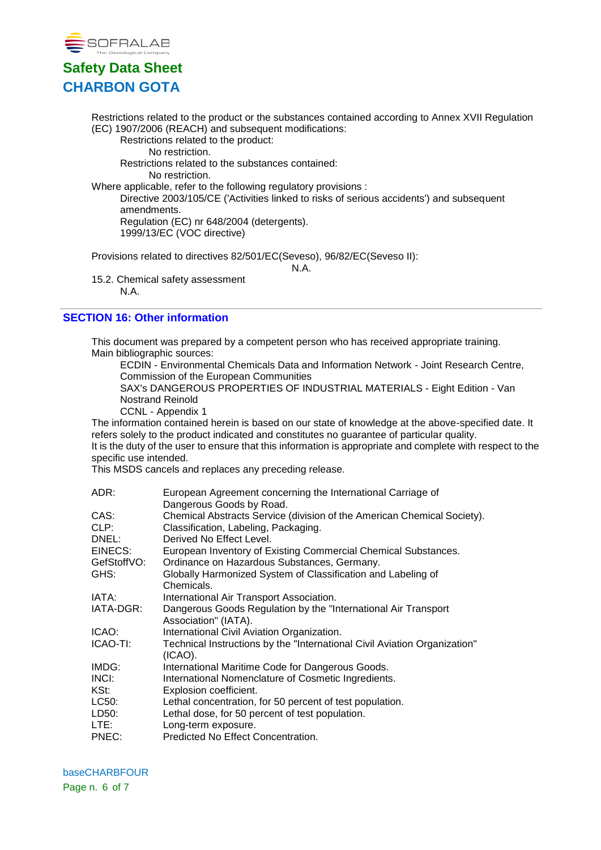

Restrictions related to the product or the substances contained according to Annex XVII Regulation (EC) 1907/2006 (REACH) and subsequent modifications:

Restrictions related to the product: No restriction.

Restrictions related to the substances contained: No restriction.

Where applicable, refer to the following regulatory provisions : Directive 2003/105/CE ('Activities linked to risks of serious accidents') and subsequent amendments. Regulation (EC) nr 648/2004 (detergents).

1999/13/EC (VOC directive)

Provisions related to directives 82/501/EC(Seveso), 96/82/EC(Seveso II):

N.A.

15.2. Chemical safety assessment N.A.

## **SECTION 16: Other information**

This document was prepared by a competent person who has received appropriate training. Main bibliographic sources:

ECDIN - Environmental Chemicals Data and Information Network - Joint Research Centre, Commission of the European Communities

SAX's DANGEROUS PROPERTIES OF INDUSTRIAL MATERIALS - Eight Edition - Van Nostrand Reinold

CCNL - Appendix 1

The information contained herein is based on our state of knowledge at the above-specified date. It refers solely to the product indicated and constitutes no guarantee of particular quality. It is the duty of the user to ensure that this information is appropriate and complete with respect to the specific use intended.

This MSDS cancels and replaces any preceding release.

| ADR:        | European Agreement concerning the International Carriage of<br>Dangerous Goods by Road. |
|-------------|-----------------------------------------------------------------------------------------|
| CAS:        | Chemical Abstracts Service (division of the American Chemical Society).                 |
| CLP:        | Classification, Labeling, Packaging.                                                    |
| DNEL:       | Derived No Effect Level.                                                                |
| EINECS:     | European Inventory of Existing Commercial Chemical Substances.                          |
| GefStoffVO: | Ordinance on Hazardous Substances, Germany.                                             |
| GHS:        | Globally Harmonized System of Classification and Labeling of<br>Chemicals.              |
| IATA:       | International Air Transport Association.                                                |
| IATA-DGR:   | Dangerous Goods Regulation by the "International Air Transport<br>Association" (IATA).  |
| ICAO:       | International Civil Aviation Organization.                                              |
| ICAO-TI:    | Technical Instructions by the "International Civil Aviation Organization"<br>$(ICAO)$ . |
| IMDG:       | International Maritime Code for Dangerous Goods.                                        |
| INCI:       | International Nomenclature of Cosmetic Ingredients.                                     |
| KSt:        | Explosion coefficient.                                                                  |
| LC50:       | Lethal concentration, for 50 percent of test population.                                |
| LD50:       | Lethal dose, for 50 percent of test population.                                         |
| LTE:        | Long-term exposure.                                                                     |
| PNEC:       | Predicted No Effect Concentration.                                                      |